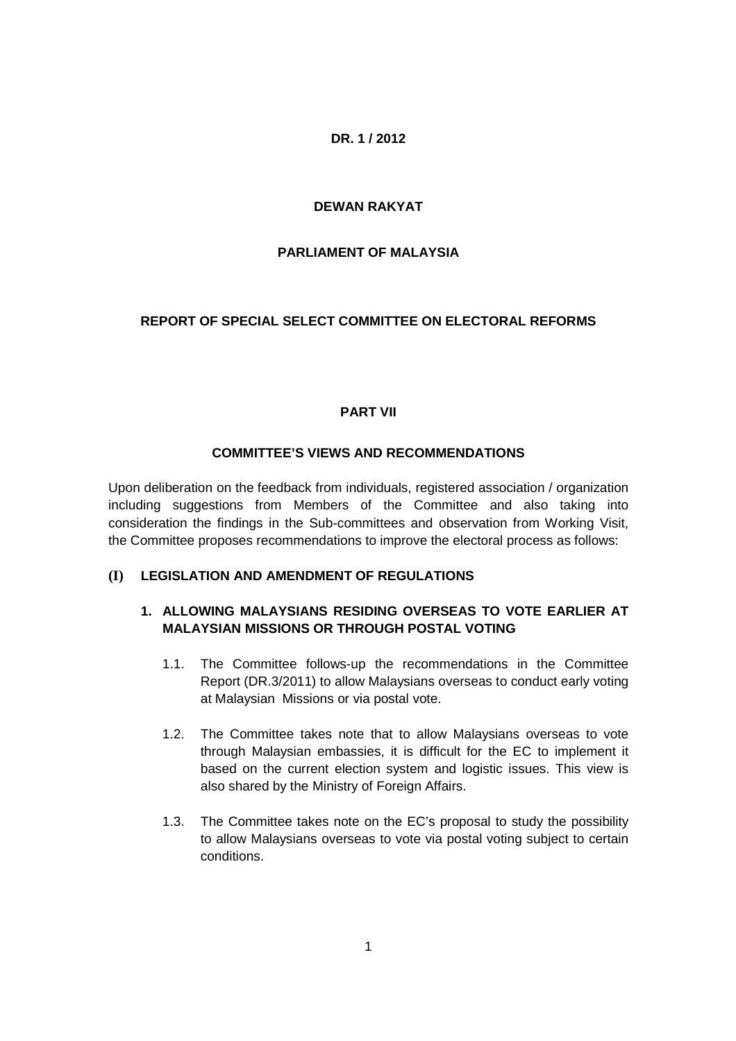## **DR. 1 / 2012**

## **DEWAN RAKYAT**

## **PARLIAMENT OF MALAYSIA**

## **REPORT OF SPECIAL SELECT COMMITTEE ON ELECTORAL REFORMS**

## **PART VII**

### **COMMITTEE'S VIEWS AND RECOMMENDATIONS**

Upon deliberation on the feedback from individuals, registered association / organization including suggestions from Members of the Committee and also taking into consideration the findings in the Sub-committees and observation from Working Visit, the Committee proposes recommendations to improve the electoral process as follows:

### **(I) LEGISLATION AND AMENDMENT OF REGULATIONS**

# **1. ALLOWING MALAYSIANS RESIDING OVERSEAS TO VOTE EARLIER AT MALAYSIAN MISSIONS OR THROUGH POSTAL VOTING**

- 1.1. The Committee follows-up the recommendations in the Committee Report (DR.3/2011) to allow Malaysians overseas to conduct early voting at Malaysian Missions or via postal vote.
- 1.2. The Committee takes note that to allow Malaysians overseas to vote through Malaysian embassies, it is difficult for the EC to implement it based on the current election system and logistic issues. This view is also shared by the Ministry of Foreign Affairs.
- 1.3. The Committee takes note on the EC's proposal to study the possibility to allow Malaysians overseas to vote via postal voting subject to certain conditions.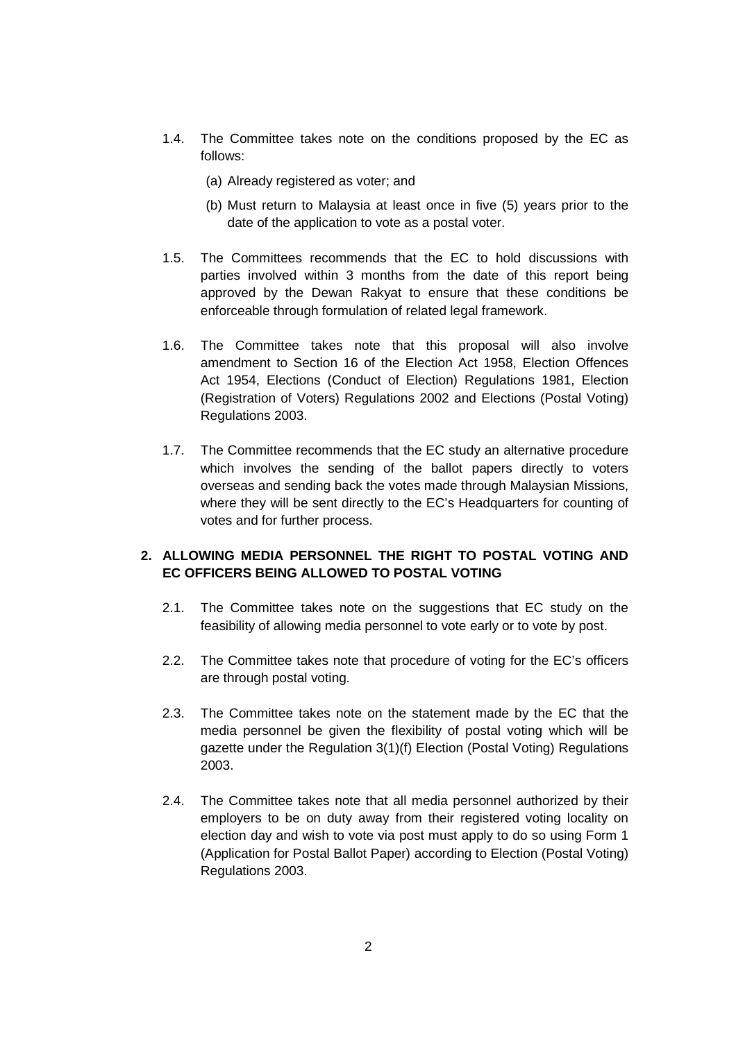- 1.4. The Committee takes note on the conditions proposed by the EC as follows:
	- (a) Already registered as voter; and
	- (b) Must return to Malaysia at least once in five (5) years prior to the date of the application to vote as a postal voter.
- 1.5. The Committees recommends that the EC to hold discussions with parties involved within 3 months from the date of this report being approved by the Dewan Rakyat to ensure that these conditions be enforceable through formulation of related legal framework.
- 1.6. The Committee takes note that this proposal will also involve amendment to Section 16 of the Election Act 1958, Election Offences Act 1954, Elections (Conduct of Election) Regulations 1981, Election (Registration of Voters) Regulations 2002 and Elections (Postal Voting) Regulations 2003.
- 1.7. The Committee recommends that the EC study an alternative procedure which involves the sending of the ballot papers directly to voters overseas and sending back the votes made through Malaysian Missions, where they will be sent directly to the EC's Headquarters for counting of votes and for further process.

## **2. ALLOWING MEDIA PERSONNEL THE RIGHT TO POSTAL VOTING AND EC OFFICERS BEING ALLOWED TO POSTAL VOTING**

- 2.1. The Committee takes note on the suggestions that EC study on the feasibility of allowing media personnel to vote early or to vote by post.
- 2.2. The Committee takes note that procedure of voting for the EC's officers are through postal voting.
- 2.3. The Committee takes note on the statement made by the EC that the media personnel be given the flexibility of postal voting which will be gazette under the Regulation 3(1)(f) Election (Postal Voting) Regulations 2003.
- 2.4. The Committee takes note that all media personnel authorized by their employers to be on duty away from their registered voting locality on election day and wish to vote via post must apply to do so using Form 1 (Application for Postal Ballot Paper) according to Election (Postal Voting) Regulations 2003.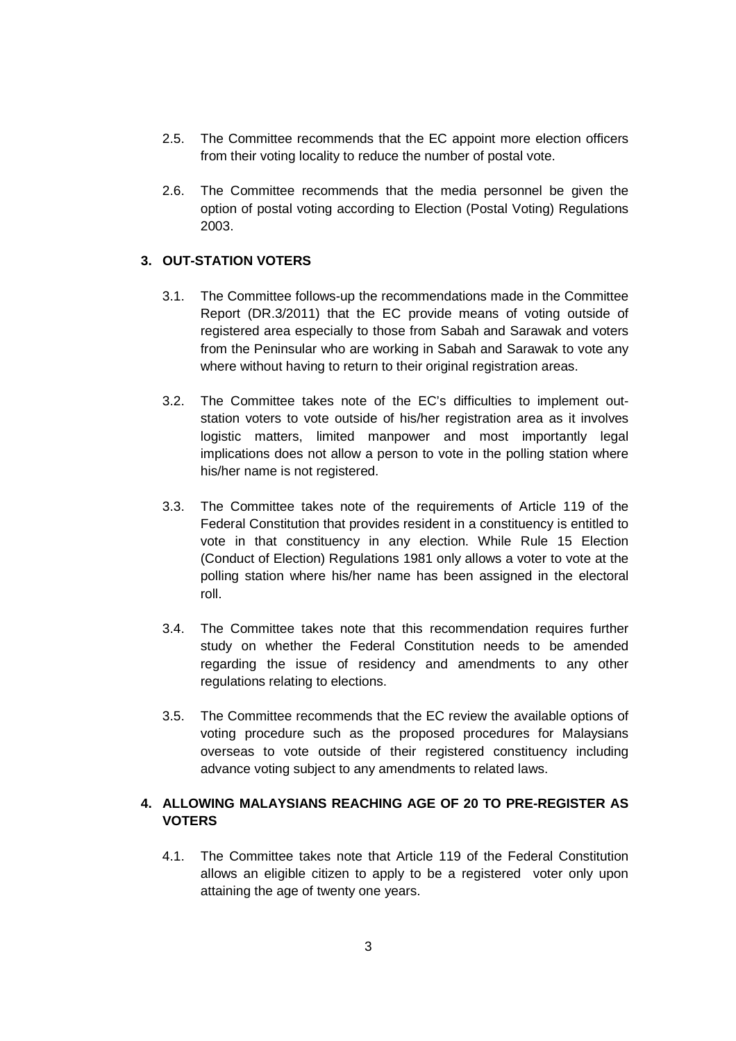- 2.5. The Committee recommends that the EC appoint more election officers from their voting locality to reduce the number of postal vote.
- 2.6. The Committee recommends that the media personnel be given the option of postal voting according to Election (Postal Voting) Regulations 2003.

### **3. OUT-STATION VOTERS**

- 3.1. The Committee follows-up the recommendations made in the Committee Report (DR.3/2011) that the EC provide means of voting outside of registered area especially to those from Sabah and Sarawak and voters from the Peninsular who are working in Sabah and Sarawak to vote any where without having to return to their original registration areas.
- 3.2. The Committee takes note of the EC's difficulties to implement outstation voters to vote outside of his/her registration area as it involves logistic matters, limited manpower and most importantly legal implications does not allow a person to vote in the polling station where his/her name is not registered.
- 3.3. The Committee takes note of the requirements of Article 119 of the Federal Constitution that provides resident in a constituency is entitled to vote in that constituency in any election. While Rule 15 Election (Conduct of Election) Regulations 1981 only allows a voter to vote at the polling station where his/her name has been assigned in the electoral roll.
- 3.4. The Committee takes note that this recommendation requires further study on whether the Federal Constitution needs to be amended regarding the issue of residency and amendments to any other regulations relating to elections.
- 3.5. The Committee recommends that the EC review the available options of voting procedure such as the proposed procedures for Malaysians overseas to vote outside of their registered constituency including advance voting subject to any amendments to related laws.

## **4. ALLOWING MALAYSIANS REACHING AGE OF 20 TO PRE-REGISTER AS VOTERS**

4.1. The Committee takes note that Article 119 of the Federal Constitution allows an eligible citizen to apply to be a registered voter only upon attaining the age of twenty one years.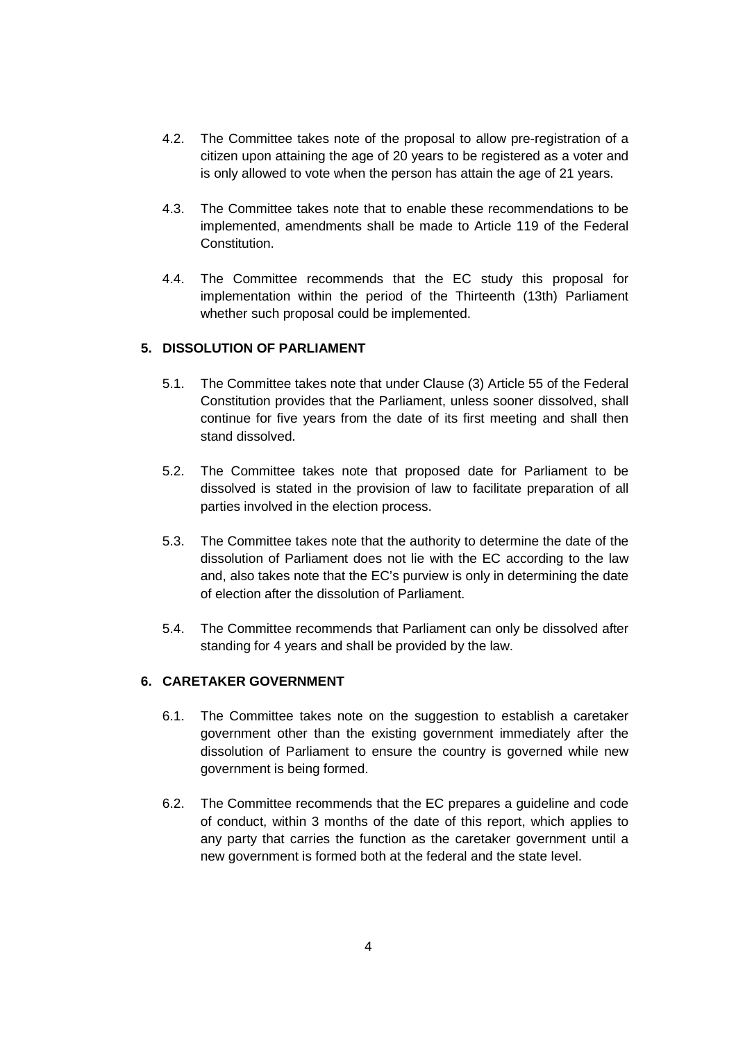- 4.2. The Committee takes note of the proposal to allow pre-registration of a citizen upon attaining the age of 20 years to be registered as a voter and is only allowed to vote when the person has attain the age of 21 years.
- 4.3. The Committee takes note that to enable these recommendations to be implemented, amendments shall be made to Article 119 of the Federal Constitution.
- 4.4. The Committee recommends that the EC study this proposal for implementation within the period of the Thirteenth (13th) Parliament whether such proposal could be implemented.

## **5. DISSOLUTION OF PARLIAMENT**

- 5.1. The Committee takes note that under Clause (3) Article 55 of the Federal Constitution provides that the Parliament, unless sooner dissolved, shall continue for five years from the date of its first meeting and shall then stand dissolved.
- 5.2. The Committee takes note that proposed date for Parliament to be dissolved is stated in the provision of law to facilitate preparation of all parties involved in the election process.
- 5.3. The Committee takes note that the authority to determine the date of the dissolution of Parliament does not lie with the EC according to the law and, also takes note that the EC's purview is only in determining the date of election after the dissolution of Parliament.
- 5.4. The Committee recommends that Parliament can only be dissolved after standing for 4 years and shall be provided by the law.

### **6. CARETAKER GOVERNMENT**

- 6.1. The Committee takes note on the suggestion to establish a caretaker government other than the existing government immediately after the dissolution of Parliament to ensure the country is governed while new government is being formed.
- 6.2. The Committee recommends that the EC prepares a guideline and code of conduct, within 3 months of the date of this report, which applies to any party that carries the function as the caretaker government until a new government is formed both at the federal and the state level.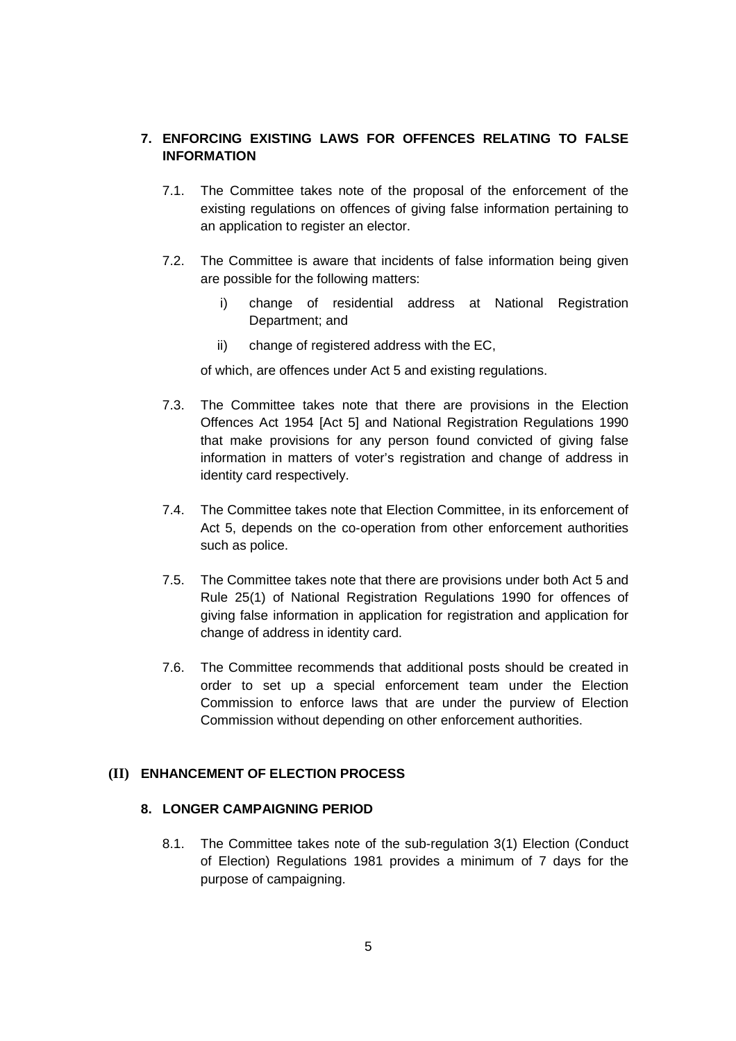## **7. ENFORCING EXISTING LAWS FOR OFFENCES RELATING TO FALSE INFORMATION**

- 7.1. The Committee takes note of the proposal of the enforcement of the existing regulations on offences of giving false information pertaining to an application to register an elector.
- 7.2. The Committee is aware that incidents of false information being given are possible for the following matters:
	- i) change of residential address at National Registration Department; and
	- ii) change of registered address with the EC,

of which, are offences under Act 5 and existing regulations.

- 7.3. The Committee takes note that there are provisions in the Election Offences Act 1954 [Act 5] and National Registration Regulations 1990 that make provisions for any person found convicted of giving false information in matters of voter's registration and change of address in identity card respectively.
- 7.4. The Committee takes note that Election Committee, in its enforcement of Act 5, depends on the co-operation from other enforcement authorities such as police.
- 7.5. The Committee takes note that there are provisions under both Act 5 and Rule 25(1) of National Registration Regulations 1990 for offences of giving false information in application for registration and application for change of address in identity card.
- 7.6. The Committee recommends that additional posts should be created in order to set up a special enforcement team under the Election Commission to enforce laws that are under the purview of Election Commission without depending on other enforcement authorities.

### **(II) ENHANCEMENT OF ELECTION PROCESS**

#### **8. LONGER CAMPAIGNING PERIOD**

8.1. The Committee takes note of the sub-regulation 3(1) Election (Conduct of Election) Regulations 1981 provides a minimum of 7 days for the purpose of campaigning.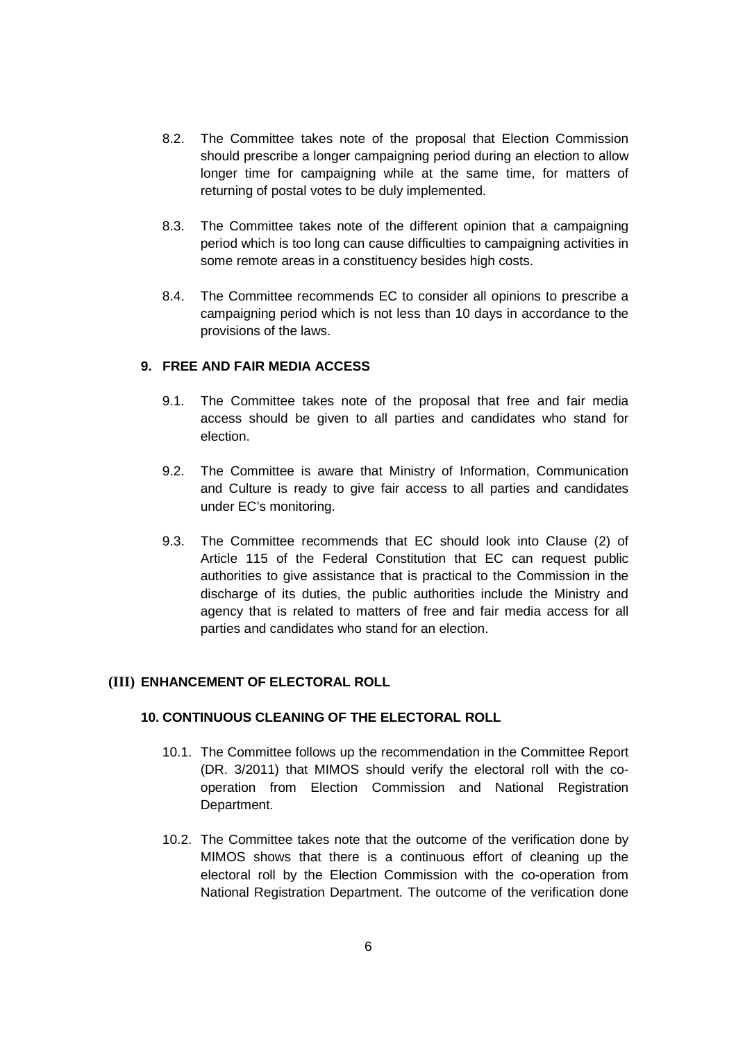- 8.2. The Committee takes note of the proposal that Election Commission should prescribe a longer campaigning period during an election to allow longer time for campaigning while at the same time, for matters of returning of postal votes to be duly implemented.
- 8.3. The Committee takes note of the different opinion that a campaigning period which is too long can cause difficulties to campaigning activities in some remote areas in a constituency besides high costs.
- 8.4. The Committee recommends EC to consider all opinions to prescribe a campaigning period which is not less than 10 days in accordance to the provisions of the laws.

### **9. FREE AND FAIR MEDIA ACCESS**

- 9.1. The Committee takes note of the proposal that free and fair media access should be given to all parties and candidates who stand for election.
- 9.2. The Committee is aware that Ministry of Information, Communication and Culture is ready to give fair access to all parties and candidates under EC's monitoring.
- 9.3. The Committee recommends that EC should look into Clause (2) of Article 115 of the Federal Constitution that EC can request public authorities to give assistance that is practical to the Commission in the discharge of its duties, the public authorities include the Ministry and agency that is related to matters of free and fair media access for all parties and candidates who stand for an election.

### **(III) ENHANCEMENT OF ELECTORAL ROLL**

### **10. CONTINUOUS CLEANING OF THE ELECTORAL ROLL**

- 10.1. The Committee follows up the recommendation in the Committee Report (DR. 3/2011) that MIMOS should verify the electoral roll with the cooperation from Election Commission and National Registration Department.
- 10.2. The Committee takes note that the outcome of the verification done by MIMOS shows that there is a continuous effort of cleaning up the electoral roll by the Election Commission with the co-operation from National Registration Department. The outcome of the verification done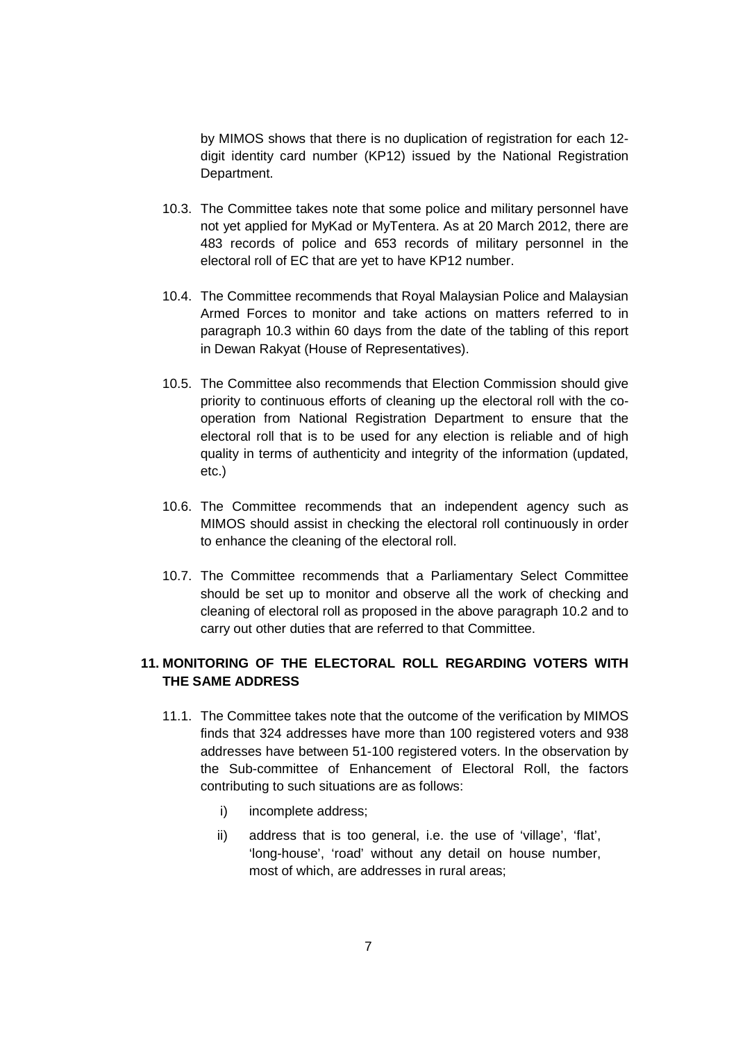by MIMOS shows that there is no duplication of registration for each 12 digit identity card number (KP12) issued by the National Registration Department.

- 10.3. The Committee takes note that some police and military personnel have not yet applied for MyKad or MyTentera. As at 20 March 2012, there are 483 records of police and 653 records of military personnel in the electoral roll of EC that are yet to have KP12 number.
- 10.4. The Committee recommends that Royal Malaysian Police and Malaysian Armed Forces to monitor and take actions on matters referred to in paragraph 10.3 within 60 days from the date of the tabling of this report in Dewan Rakyat (House of Representatives).
- 10.5. The Committee also recommends that Election Commission should give priority to continuous efforts of cleaning up the electoral roll with the cooperation from National Registration Department to ensure that the electoral roll that is to be used for any election is reliable and of high quality in terms of authenticity and integrity of the information (updated, etc.)
- 10.6. The Committee recommends that an independent agency such as MIMOS should assist in checking the electoral roll continuously in order to enhance the cleaning of the electoral roll.
- 10.7. The Committee recommends that a Parliamentary Select Committee should be set up to monitor and observe all the work of checking and cleaning of electoral roll as proposed in the above paragraph 10.2 and to carry out other duties that are referred to that Committee.

## **11. MONITORING OF THE ELECTORAL ROLL REGARDING VOTERS WITH THE SAME ADDRESS**

- 11.1. The Committee takes note that the outcome of the verification by MIMOS finds that 324 addresses have more than 100 registered voters and 938 addresses have between 51-100 registered voters. In the observation by the Sub-committee of Enhancement of Electoral Roll, the factors contributing to such situations are as follows:
	- i) incomplete address;
	- ii) address that is too general, i.e. the use of 'village', 'flat', 'long-house', 'road' without any detail on house number, most of which, are addresses in rural areas;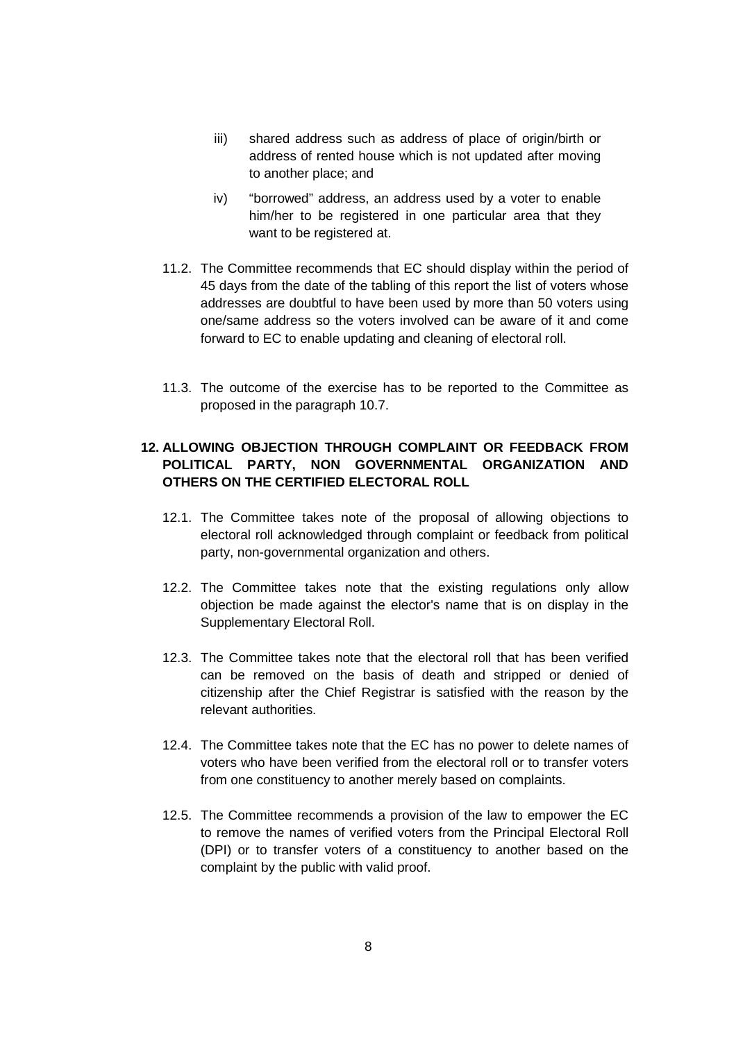- iii) shared address such as address of place of origin/birth or address of rented house which is not updated after moving to another place; and
- iv) "borrowed" address, an address used by a voter to enable him/her to be registered in one particular area that they want to be registered at.
- 11.2. The Committee recommends that EC should display within the period of 45 days from the date of the tabling of this report the list of voters whose addresses are doubtful to have been used by more than 50 voters using one/same address so the voters involved can be aware of it and come forward to EC to enable updating and cleaning of electoral roll.
- 11.3. The outcome of the exercise has to be reported to the Committee as proposed in the paragraph 10.7.

## **12. ALLOWING OBJECTION THROUGH COMPLAINT OR FEEDBACK FROM POLITICAL PARTY, NON GOVERNMENTAL ORGANIZATION AND OTHERS ON THE CERTIFIED ELECTORAL ROLL**

- 12.1. The Committee takes note of the proposal of allowing objections to electoral roll acknowledged through complaint or feedback from political party, non-governmental organization and others.
- 12.2. The Committee takes note that the existing regulations only allow objection be made against the elector's name that is on display in the Supplementary Electoral Roll.
- 12.3. The Committee takes note that the electoral roll that has been verified can be removed on the basis of death and stripped or denied of citizenship after the Chief Registrar is satisfied with the reason by the relevant authorities.
- 12.4. The Committee takes note that the EC has no power to delete names of voters who have been verified from the electoral roll or to transfer voters from one constituency to another merely based on complaints.
- 12.5. The Committee recommends a provision of the law to empower the EC to remove the names of verified voters from the Principal Electoral Roll (DPI) or to transfer voters of a constituency to another based on the complaint by the public with valid proof.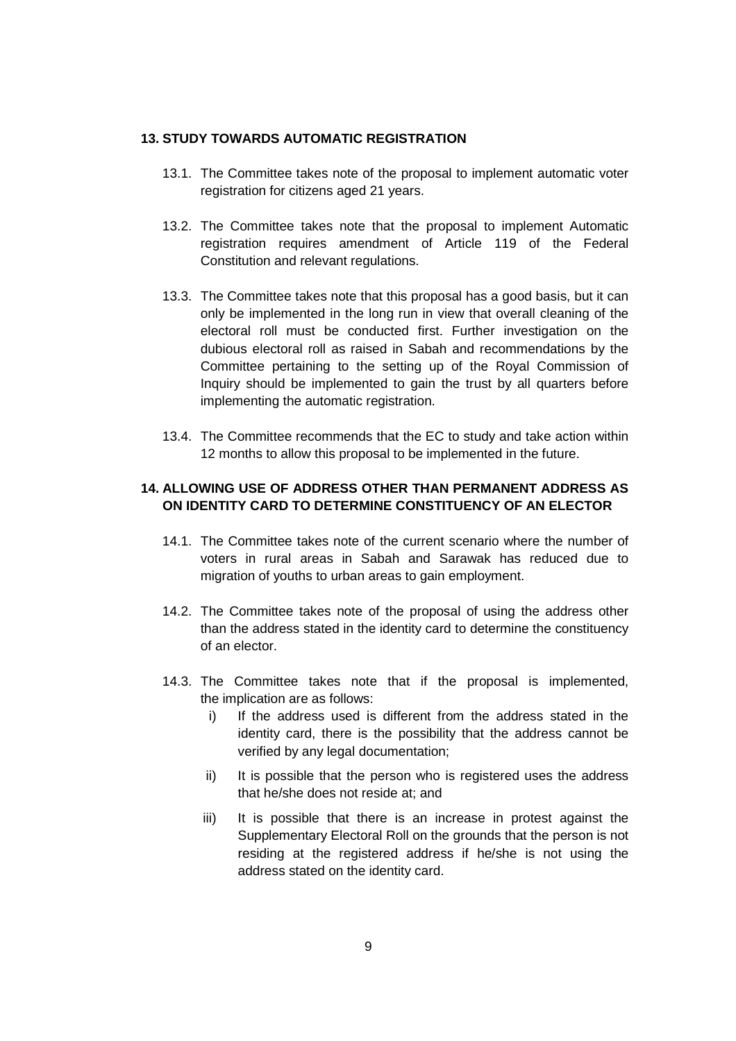#### **13. STUDY TOWARDS AUTOMATIC REGISTRATION**

- 13.1. The Committee takes note of the proposal to implement automatic voter registration for citizens aged 21 years.
- 13.2. The Committee takes note that the proposal to implement Automatic registration requires amendment of Article 119 of the Federal Constitution and relevant regulations.
- 13.3. The Committee takes note that this proposal has a good basis, but it can only be implemented in the long run in view that overall cleaning of the electoral roll must be conducted first. Further investigation on the dubious electoral roll as raised in Sabah and recommendations by the Committee pertaining to the setting up of the Royal Commission of Inquiry should be implemented to gain the trust by all quarters before implementing the automatic registration.
- 13.4. The Committee recommends that the EC to study and take action within 12 months to allow this proposal to be implemented in the future.

# **14. ALLOWING USE OF ADDRESS OTHER THAN PERMANENT ADDRESS AS ON IDENTITY CARD TO DETERMINE CONSTITUENCY OF AN ELECTOR**

- 14.1. The Committee takes note of the current scenario where the number of voters in rural areas in Sabah and Sarawak has reduced due to migration of youths to urban areas to gain employment.
- 14.2. The Committee takes note of the proposal of using the address other than the address stated in the identity card to determine the constituency of an elector.
- 14.3. The Committee takes note that if the proposal is implemented, the implication are as follows:
	- i) If the address used is different from the address stated in the identity card, there is the possibility that the address cannot be verified by any legal documentation;
	- ii) It is possible that the person who is registered uses the address that he/she does not reside at; and
	- iii) It is possible that there is an increase in protest against the Supplementary Electoral Roll on the grounds that the person is not residing at the registered address if he/she is not using the address stated on the identity card.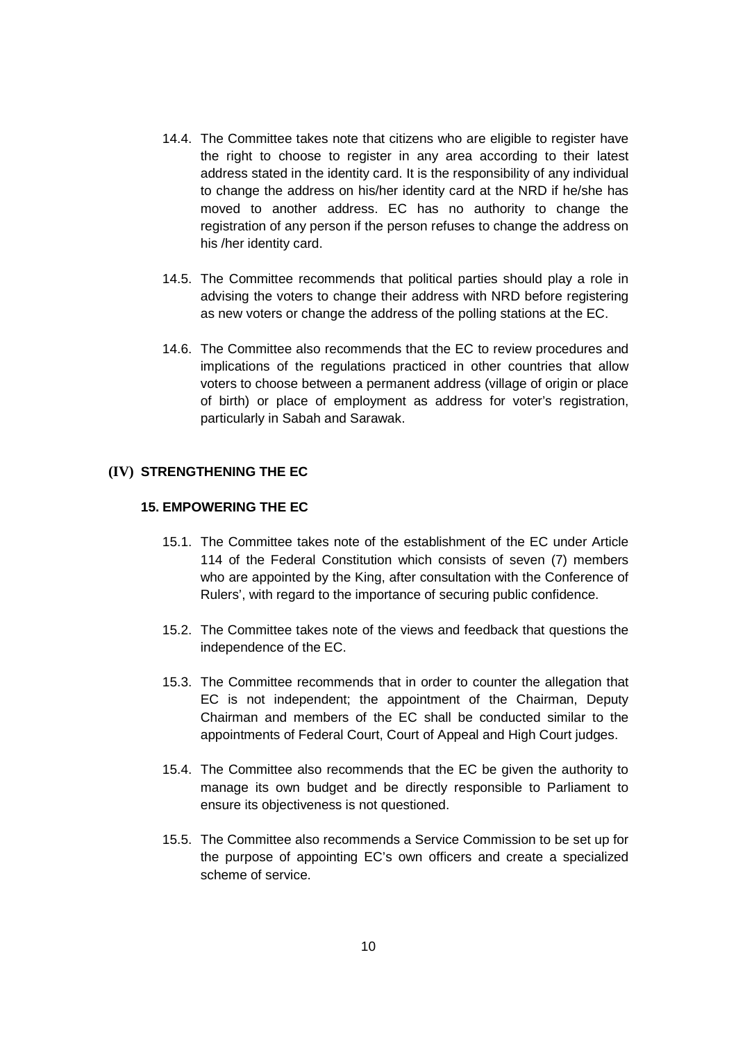- 14.4. The Committee takes note that citizens who are eligible to register have the right to choose to register in any area according to their latest address stated in the identity card. It is the responsibility of any individual to change the address on his/her identity card at the NRD if he/she has moved to another address. EC has no authority to change the registration of any person if the person refuses to change the address on his /her identity card.
- 14.5. The Committee recommends that political parties should play a role in advising the voters to change their address with NRD before registering as new voters or change the address of the polling stations at the EC.
- 14.6. The Committee also recommends that the EC to review procedures and implications of the regulations practiced in other countries that allow voters to choose between a permanent address (village of origin or place of birth) or place of employment as address for voter's registration, particularly in Sabah and Sarawak.

### **(IV) STRENGTHENING THE EC**

### **15. EMPOWERING THE EC**

- 15.1. The Committee takes note of the establishment of the EC under Article 114 of the Federal Constitution which consists of seven (7) members who are appointed by the King, after consultation with the Conference of Rulers', with regard to the importance of securing public confidence.
- 15.2. The Committee takes note of the views and feedback that questions the independence of the EC.
- 15.3. The Committee recommends that in order to counter the allegation that EC is not independent; the appointment of the Chairman, Deputy Chairman and members of the EC shall be conducted similar to the appointments of Federal Court, Court of Appeal and High Court judges.
- 15.4. The Committee also recommends that the EC be given the authority to manage its own budget and be directly responsible to Parliament to ensure its objectiveness is not questioned.
- 15.5. The Committee also recommends a Service Commission to be set up for the purpose of appointing EC's own officers and create a specialized scheme of service.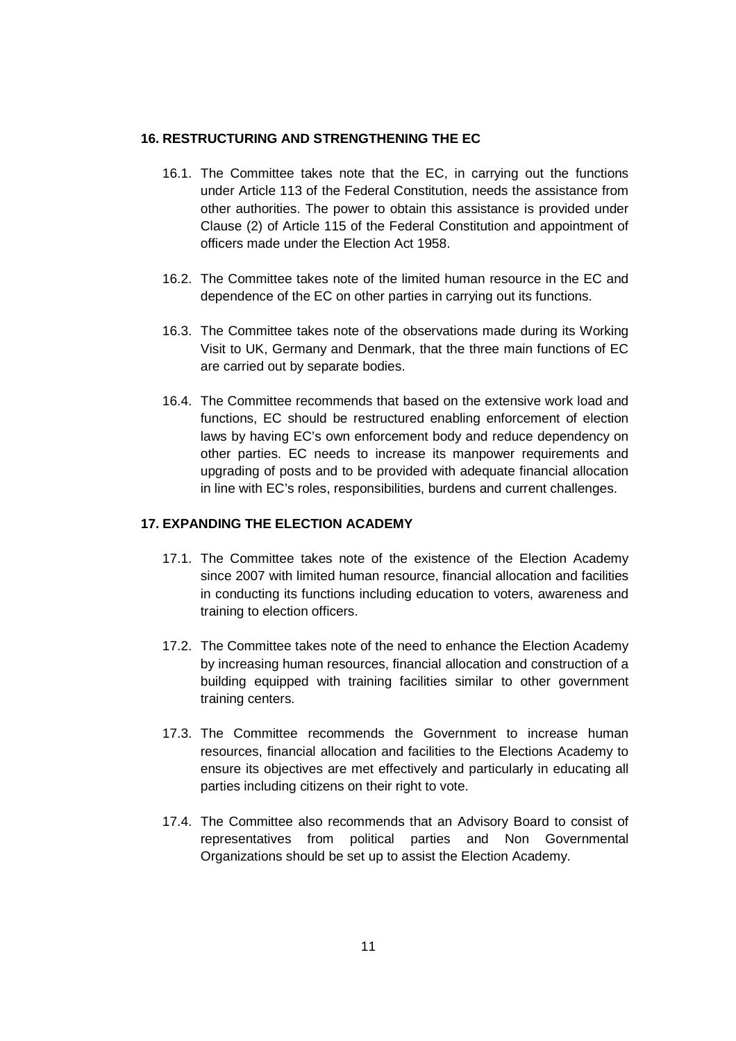#### **16. RESTRUCTURING AND STRENGTHENING THE EC**

- 16.1. The Committee takes note that the EC, in carrying out the functions under Article 113 of the Federal Constitution, needs the assistance from other authorities. The power to obtain this assistance is provided under Clause (2) of Article 115 of the Federal Constitution and appointment of officers made under the Election Act 1958.
- 16.2. The Committee takes note of the limited human resource in the EC and dependence of the EC on other parties in carrying out its functions.
- 16.3. The Committee takes note of the observations made during its Working Visit to UK, Germany and Denmark, that the three main functions of EC are carried out by separate bodies.
- 16.4. The Committee recommends that based on the extensive work load and functions, EC should be restructured enabling enforcement of election laws by having EC's own enforcement body and reduce dependency on other parties. EC needs to increase its manpower requirements and upgrading of posts and to be provided with adequate financial allocation in line with EC's roles, responsibilities, burdens and current challenges.

#### **17. EXPANDING THE ELECTION ACADEMY**

- 17.1. The Committee takes note of the existence of the Election Academy since 2007 with limited human resource, financial allocation and facilities in conducting its functions including education to voters, awareness and training to election officers.
- 17.2. The Committee takes note of the need to enhance the Election Academy by increasing human resources, financial allocation and construction of a building equipped with training facilities similar to other government training centers.
- 17.3. The Committee recommends the Government to increase human resources, financial allocation and facilities to the Elections Academy to ensure its objectives are met effectively and particularly in educating all parties including citizens on their right to vote.
- 17.4. The Committee also recommends that an Advisory Board to consist of representatives from political parties and Non Governmental Organizations should be set up to assist the Election Academy.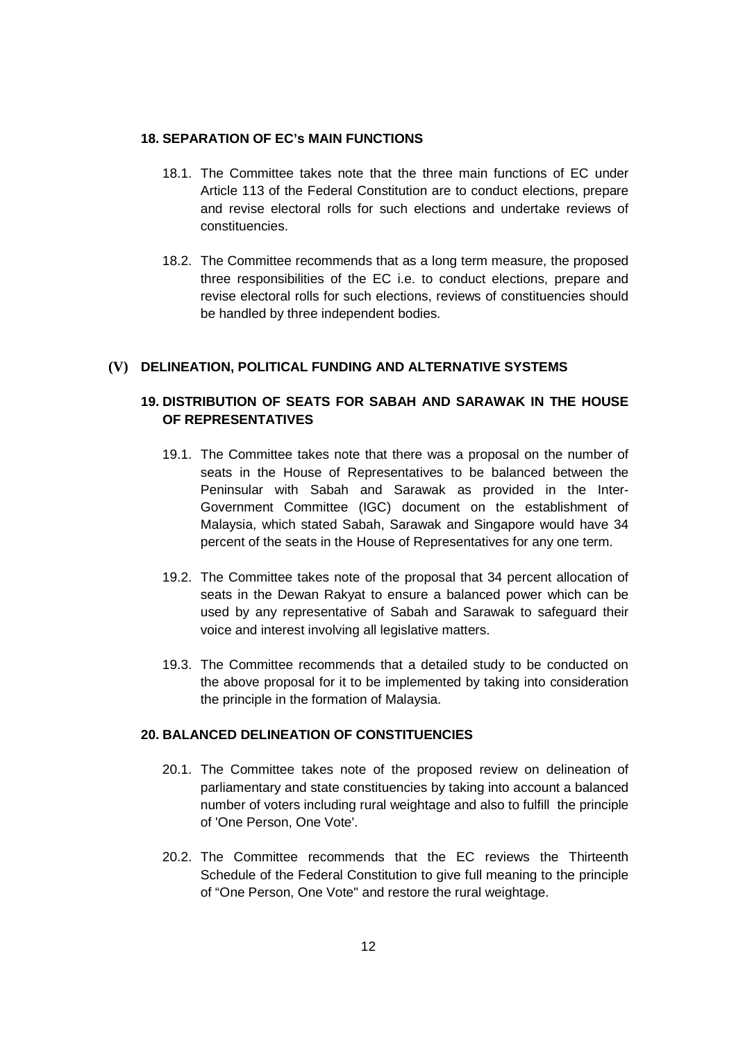#### **18. SEPARATION OF EC's MAIN FUNCTIONS**

- 18.1. The Committee takes note that the three main functions of EC under Article 113 of the Federal Constitution are to conduct elections, prepare and revise electoral rolls for such elections and undertake reviews of constituencies.
- 18.2. The Committee recommends that as a long term measure, the proposed three responsibilities of the EC i.e. to conduct elections, prepare and revise electoral rolls for such elections, reviews of constituencies should be handled by three independent bodies.

### **(V) DELINEATION, POLITICAL FUNDING AND ALTERNATIVE SYSTEMS**

# **19. DISTRIBUTION OF SEATS FOR SABAH AND SARAWAK IN THE HOUSE OF REPRESENTATIVES**

- 19.1. The Committee takes note that there was a proposal on the number of seats in the House of Representatives to be balanced between the Peninsular with Sabah and Sarawak as provided in the Inter-Government Committee (IGC) document on the establishment of Malaysia, which stated Sabah, Sarawak and Singapore would have 34 percent of the seats in the House of Representatives for any one term.
- 19.2. The Committee takes note of the proposal that 34 percent allocation of seats in the Dewan Rakyat to ensure a balanced power which can be used by any representative of Sabah and Sarawak to safeguard their voice and interest involving all legislative matters.
- 19.3. The Committee recommends that a detailed study to be conducted on the above proposal for it to be implemented by taking into consideration the principle in the formation of Malaysia.

### **20. BALANCED DELINEATION OF CONSTITUENCIES**

- 20.1. The Committee takes note of the proposed review on delineation of parliamentary and state constituencies by taking into account a balanced number of voters including rural weightage and also to fulfill the principle of 'One Person, One Vote'.
- 20.2. The Committee recommends that the EC reviews the Thirteenth Schedule of the Federal Constitution to give full meaning to the principle of "One Person, One Vote" and restore the rural weightage.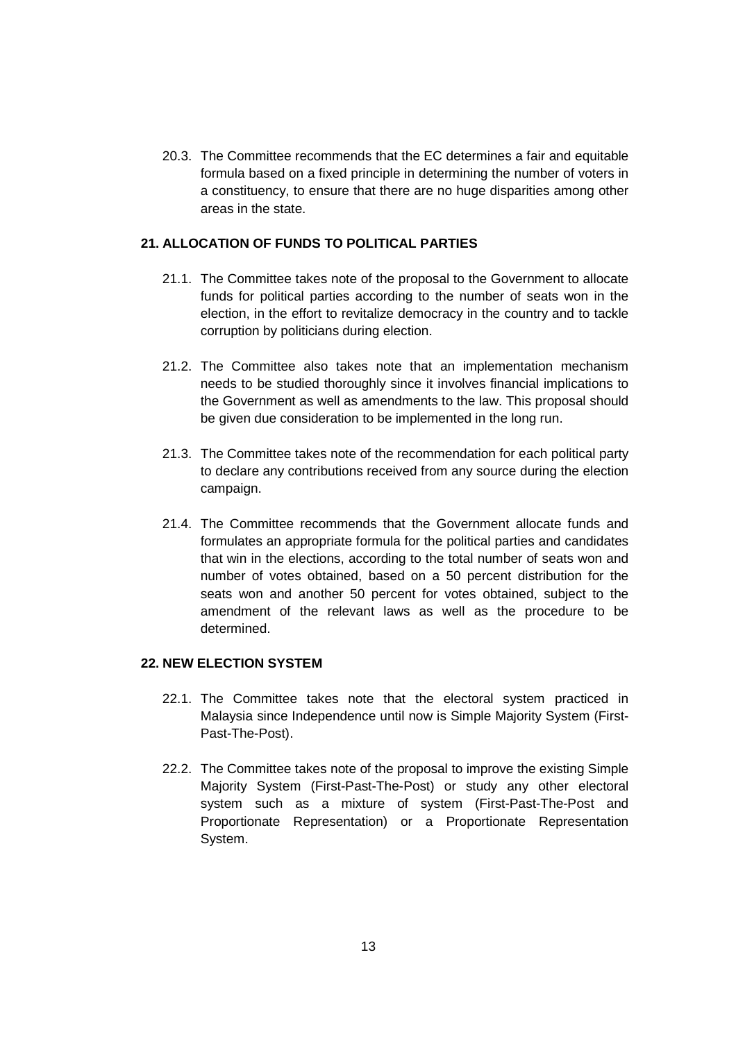20.3. The Committee recommends that the EC determines a fair and equitable formula based on a fixed principle in determining the number of voters in a constituency, to ensure that there are no huge disparities among other areas in the state.

# **21. ALLOCATION OF FUNDS TO POLITICAL PARTIES**

- 21.1. The Committee takes note of the proposal to the Government to allocate funds for political parties according to the number of seats won in the election, in the effort to revitalize democracy in the country and to tackle corruption by politicians during election.
- 21.2. The Committee also takes note that an implementation mechanism needs to be studied thoroughly since it involves financial implications to the Government as well as amendments to the law. This proposal should be given due consideration to be implemented in the long run.
- 21.3. The Committee takes note of the recommendation for each political party to declare any contributions received from any source during the election campaign.
- 21.4. The Committee recommends that the Government allocate funds and formulates an appropriate formula for the political parties and candidates that win in the elections, according to the total number of seats won and number of votes obtained, based on a 50 percent distribution for the seats won and another 50 percent for votes obtained, subject to the amendment of the relevant laws as well as the procedure to be determined.

### **22. NEW ELECTION SYSTEM**

- 22.1. The Committee takes note that the electoral system practiced in Malaysia since Independence until now is Simple Majority System (First-Past-The-Post).
- 22.2. The Committee takes note of the proposal to improve the existing Simple Majority System (First-Past-The-Post) or study any other electoral system such as a mixture of system (First-Past-The-Post and Proportionate Representation) or a Proportionate Representation System.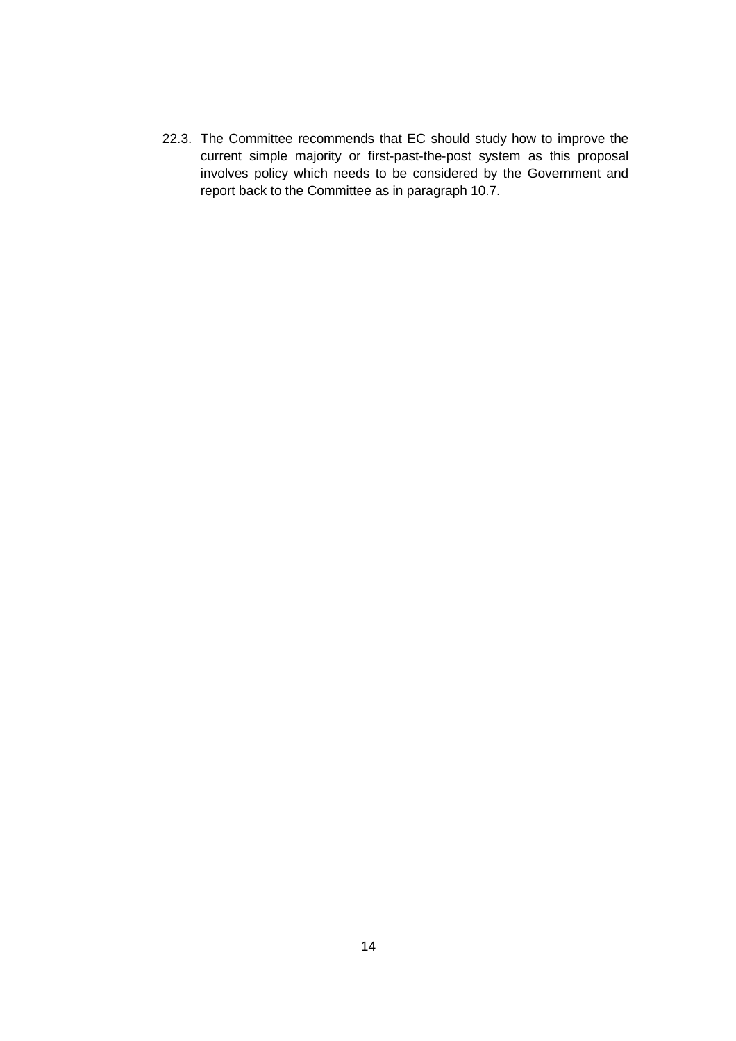22.3. The Committee recommends that EC should study how to improve the current simple majority or first-past-the-post system as this proposal involves policy which needs to be considered by the Government and report back to the Committee as in paragraph 10.7.